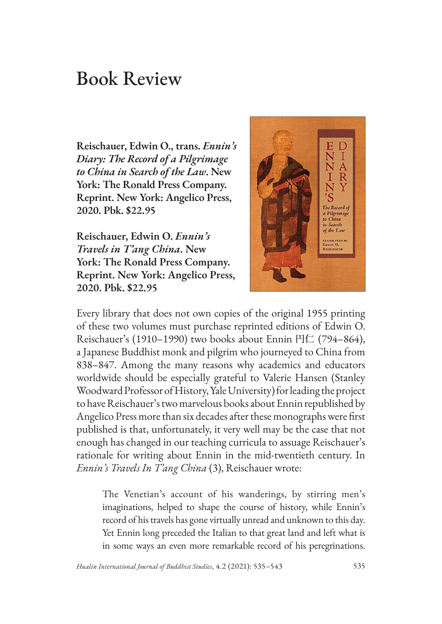## Book Review

**Reischauer, Edwin O., trans.** *Ennin's Diary: The Record of a Pilgrimage to China in Search of the Law***. New York: The Ronald Press Company. Reprint. New York: Angelico Press, 2020. Pbk. \$22.95**

**Reischauer, Edwin O.** *Ennin's Travels in T'ang China***. New York: The Ronald Press Company. Reprint. New York: Angelico Press, 2020. Pbk. \$22.95**



Every library that does not own copies of the original 1955 printing of these two volumes must purchase reprinted editions of Edwin O. Reischauer's (1910–1990) two books about Ennin 円仁 (794–864), a Japanese Buddhist monk and pilgrim who journeyed to China from 838–847. Among the many reasons why academics and educators worldwide should be especially grateful to Valerie Hansen (Stanley Woodward Professor of History, Yale University) for leading the project to have Reischauer's two marvelous books about Ennin republished by Angelico Press more than six decades after these monographs were first published is that, unfortunately, it very well may be the case that not enough has changed in our teaching curricula to assuage Reischauer's rationale for writing about Ennin in the mid-twentieth century. In *Ennin's Travels In T'ang China* (3), Reischauer wrote:

The Venetian's account of his wanderings, by stirring men's imaginations, helped to shape the course of history, while Ennin's record of his travels has gone virtually unread and unknown to this day. Yet Ennin long preceded the Italian to that great land and left what is in some ways an even more remarkable record of his peregrinations.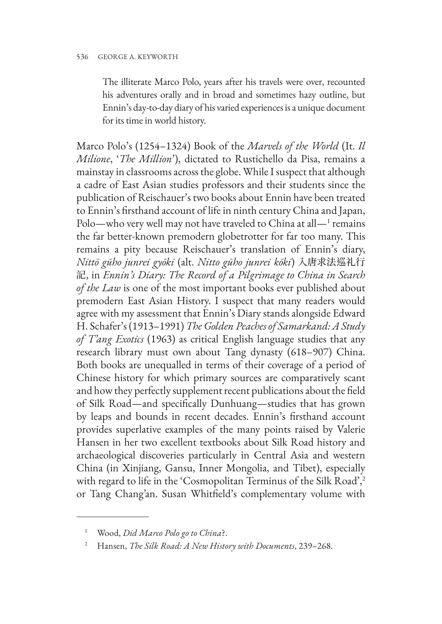The illiterate Marco Polo, years after his travels were over, recounted his adventures orally and in broad and sometimes hazy outline, but Ennin's day-to-day diary of his varied experiences is a unique document for its time in world history.

Marco Polo's (1254–1324) Book of the *Marvels of the World* (It. *Il Milione*, '*The Million*'), dictated to Rustichello da Pisa, remains a mainstay in classrooms across the globe. While I suspect that although a cadre of East Asian studies professors and their students since the publication of Reischauer's two books about Ennin have been treated to Ennin's firsthand account of life in ninth century China and Japan, Polo—who very well may not have traveled to China at all— $^1$  remains the far better-known premodern globetrotter for far too many. This remains a pity because Reischauer's translation of Ennin's diary, *Nittō gūho junrei gyōki* (alt. *Nitto gūho junrei kōki*) 入唐求法巡礼行 記, in *Ennin's Diary: The Record of a Pilgrimage to China in Search of the Law* is one of the most important books ever published about premodern East Asian History. I suspect that many readers would agree with my assessment that Ennin's Diary stands alongside Edward H. Schafer's (1913–1991) *The Golden Peaches of Samarkand: A Study of T'ang Exotics* (1963) as critical English language studies that any research library must own about Tang dynasty (618–907) China. Both books are unequalled in terms of their coverage of a period of Chinese history for which primary sources are comparatively scant and how they perfectly supplement recent publications about the field of Silk Road—and specifically Dunhuang—studies that has grown by leaps and bounds in recent decades. Ennin's firsthand account provides superlative examples of the many points raised by Valerie Hansen in her two excellent textbooks about Silk Road history and archaeological discoveries particularly in Central Asia and western China (in Xinjiang, Gansu, Inner Mongolia, and Tibet), especially with regard to life in the 'Cosmopolitan Terminus of the Silk Road',<sup>2</sup> or Tang Chang'an. Susan Whitfield's complementary volume with

<sup>1</sup> Wood, *Did Marco Polo go to China*?.

<sup>2</sup> Hansen, *The Silk Road: A New History with Documents*, 239–268.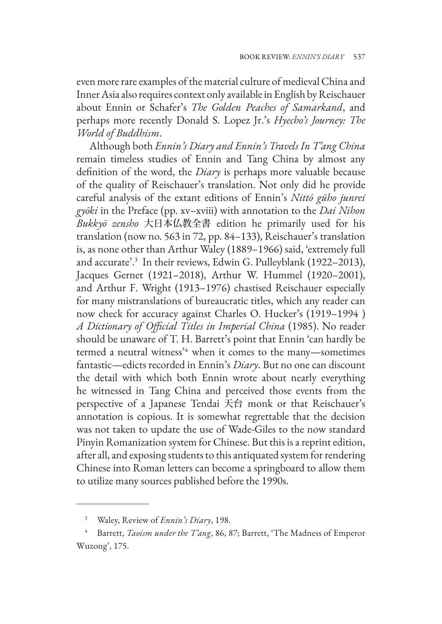even more rare examples of the material culture of medieval China and Inner Asia also requires context only available in English by Reischauer about Ennin or Schafer's *The Golden Peaches of Samarkand*, and perhaps more recently Donald S. Lopez Jr.'s *Hyecho's Journey: The World of Buddhism*.

Although both *Ennin's Diary and Ennin's Travels In T'ang China*  remain timeless studies of Ennin and Tang China by almost any definition of the word, the *Diary* is perhaps more valuable because of the quality of Reischauer's translation. Not only did he provide careful analysis of the extant editions of Ennin's *Nittō gūho junrei gyōki* in the Preface (pp. xv–xviii) with annotation to the *Dai Nihon Bukkyō zensho* 大日本仏教全書 edition he primarily used for his translation (now no. 563 in 72, pp. 84–133), Reischauer's translation is, as none other than Arthur Waley (1889–1966) said, 'extremely full and accurate'.3 In their reviews, Edwin G. Pulleyblank (1922–2013), Jacques Gernet (1921–2018), Arthur W. Hummel (1920–2001), and Arthur F. Wright (1913–1976) chastised Reischauer especially for many mistranslations of bureaucratic titles, which any reader can now check for accuracy against Charles O. Hucker's (1919–1994 ) *A Dictionary of Official Titles in Imperial China* (1985). No reader should be unaware of T. H. Barrett's point that Ennin 'can hardly be termed a neutral witness<sup>34</sup> when it comes to the many-sometimes fantastic—edicts recorded in Ennin's *Diary*. But no one can discount the detail with which both Ennin wrote about nearly everything he witnessed in Tang China and perceived those events from the perspective of a Japanese Tendai 天台 monk or that Reischauer's annotation is copious. It is somewhat regrettable that the decision was not taken to update the use of Wade-Giles to the now standard Pinyin Romanization system for Chinese. But this is a reprint edition, after all, and exposing students to this antiquated system for rendering Chinese into Roman letters can become a springboard to allow them to utilize many sources published before the 1990s.

<sup>3</sup> Waley, Review of *Ennin's Diary*, 198.

<sup>4</sup> Barrett, *Taoism under the T'ang*, 86, 87; Barrett, 'The Madness of Emperor Wuzong', 175.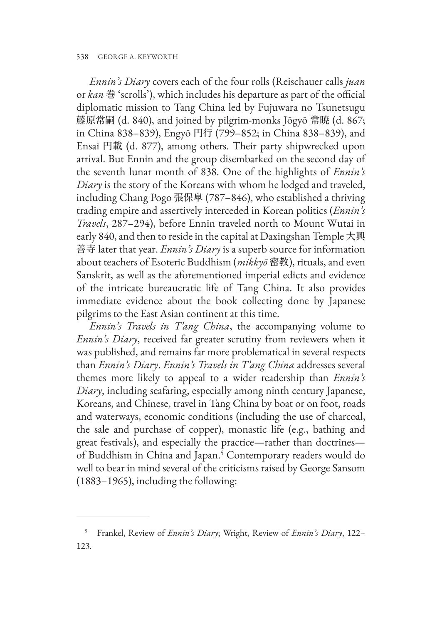## 538 GEORGE A. KEYWORTH

*Ennin's Diary* covers each of the four rolls (Reischauer calls *juan* or *kan* 巻 'scrolls'), which includes his departure as part of the official diplomatic mission to Tang China led by Fujuwara no Tsunetsugu 藤原常嗣 (d. 840), and joined by pilgrim-monks Jōgyō 常暁 (d. 867; in China 838–839), Engyō 円行 (799–852; in China 838–839), and Ensai 円載 (d. 877), among others. Their party shipwrecked upon arrival. But Ennin and the group disembarked on the second day of the seventh lunar month of 838. One of the highlights of *Ennin's Diary* is the story of the Koreans with whom he lodged and traveled, including Chang Pogo 張保皐 (787–846), who established a thriving trading empire and assertively interceded in Korean politics (*Ennin's Travels*, 287–294), before Ennin traveled north to Mount Wutai in early 840, and then to reside in the capital at Daxingshan Temple 大興 善寺 later that year. *Ennin's Diary* is a superb source for information about teachers of Esoteric Buddhism (*mikkyō* 密教), rituals, and even Sanskrit, as well as the aforementioned imperial edicts and evidence of the intricate bureaucratic life of Tang China. It also provides immediate evidence about the book collecting done by Japanese pilgrims to the East Asian continent at this time.

*Ennin's Travels in T'ang China*, the accompanying volume to *Ennin's Diary*, received far greater scrutiny from reviewers when it was published, and remains far more problematical in several respects than *Ennin's Diary*. *Ennin's Travels in T'ang China* addresses several themes more likely to appeal to a wider readership than *Ennin's Diary*, including seafaring, especially among ninth century Japanese, Koreans, and Chinese, travel in Tang China by boat or on foot, roads and waterways, economic conditions (including the use of charcoal, the sale and purchase of copper), monastic life (e.g., bathing and great festivals), and especially the practice—rather than doctrines of Buddhism in China and Japan.<sup>5</sup> Contemporary readers would do well to bear in mind several of the criticisms raised by George Sansom (1883–1965), including the following:

<sup>5</sup> Frankel, Review of *Ennin's Diary*; Wright, Review of *Ennin's Diary*, 122– 123.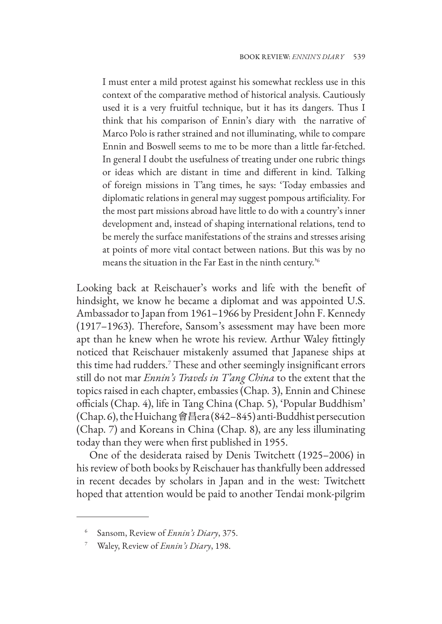I must enter a mild protest against his somewhat reckless use in this context of the comparative method of historical analysis. Cautiously used it is a very fruitful technique, but it has its dangers. Thus I think that his comparison of Ennin's diary with the narrative of Marco Polo is rather strained and not illuminating, while to compare Ennin and Boswell seems to me to be more than a little far-fetched. In general I doubt the usefulness of treating under one rubric things or ideas which are distant in time and different in kind. Talking of foreign missions in T'ang times, he says: 'Today embassies and diplomatic relations in general may suggest pompous artificiality. For the most part missions abroad have little to do with a country's inner development and, instead of shaping international relations, tend to be merely the surface manifestations of the strains and stresses arising at points of more vital contact between nations. But this was by no means the situation in the Far East in the ninth century.'6

Looking back at Reischauer's works and life with the benefit of hindsight, we know he became a diplomat and was appointed U.S. Ambassador to Japan from 1961–1966 by President John F. Kennedy (1917–1963). Therefore, Sansom's assessment may have been more apt than he knew when he wrote his review. Arthur Waley fittingly noticed that Reischauer mistakenly assumed that Japanese ships at this time had rudders.7 These and other seemingly insignificant errors still do not mar *Ennin's Travels in T'ang China* to the extent that the topics raised in each chapter, embassies (Chap. 3), Ennin and Chinese officials (Chap. 4), life in Tang China (Chap. 5), 'Popular Buddhism' (Chap. 6), the Huichang 會昌era (842–845) anti-Buddhist persecution (Chap. 7) and Koreans in China (Chap. 8), are any less illuminating today than they were when first published in 1955.

One of the desiderata raised by Denis Twitchett (1925–2006) in his review of both books by Reischauer has thankfully been addressed in recent decades by scholars in Japan and in the west: Twitchett hoped that attention would be paid to another Tendai monk-pilgrim

<sup>6</sup> Sansom, Review of *Ennin's Diary*, 375.

<sup>7</sup> Waley, Review of *Ennin's Diary*, 198.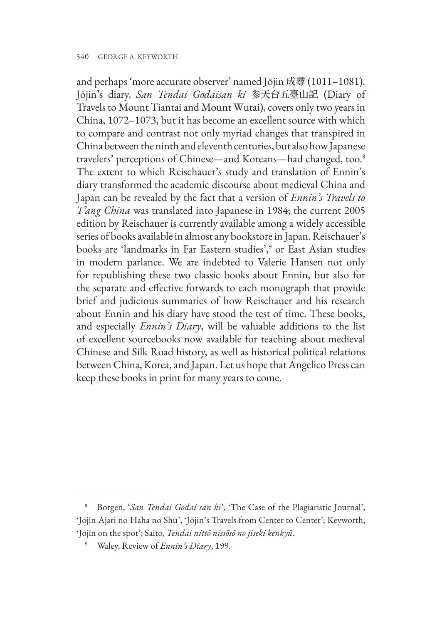and perhaps 'more accurate observer' named Jōjin 成尋 (1011–1081). Jōjin's diary, *San Tendai Godaisan ki* 参天台五臺山記 (Diary of Travels to Mount Tiantai and Mount Wutai), covers only two years in China, 1072–1073, but it has become an excellent source with which to compare and contrast not only myriad changes that transpired in China between the ninth and eleventh centuries, but also how Japanese travelers' perceptions of Chinese—and Koreans—had changed, too.8 The extent to which Reischauer's study and translation of Ennin's diary transformed the academic discourse about medieval China and Japan can be revealed by the fact that a version of *Ennin's Travels to T'ang China* was translated into Japanese in 1984; the current 2005 edition by Reischauer is currently available among a widely accessible series of books available in almost any bookstore in Japan. Reischauer's books are 'landmarks in Far Eastern studies',9 or East Asian studies in modern parlance. We are indebted to Valerie Hansen not only for republishing these two classic books about Ennin, but also for the separate and effective forwards to each monograph that provide brief and judicious summaries of how Reischauer and his research about Ennin and his diary have stood the test of time. These books, and especially *Ennin's Diary*, will be valuable additions to the list of excellent sourcebooks now available for teaching about medieval Chinese and Silk Road history, as well as historical political relations between China, Korea, and Japan. Let us hope that Angelico Press can keep these books in print for many years to come.

<sup>8</sup> Borgen, '*San Tendai Godai san ki*', 'The Case of the Plagiaristic Journal', 'Jōjin Ajari no Haha no Shū', 'Jōjin's Travels from Center to Center'; Keyworth, 'Jōjin on the spot'; Saitō, *Tendai nittō nissōsō no jiseki kenkyū*.

<sup>9</sup> Waley, Review of *Ennin's Diary*, 199.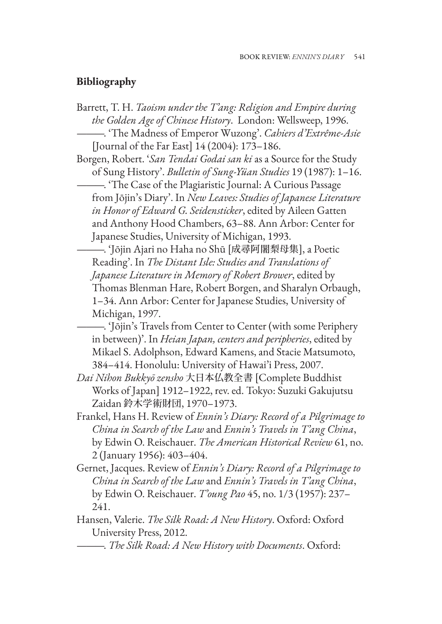## **Bibliography**

- Barrett, T. H. *Taoism under the T'ang: Religion and Empire during the Golden Age of Chinese History*. London: Wellsweep, 1996.
	- ———. 'The Madness of Emperor Wuzong'. *Cahiers d'Extrême-Asie* [Journal of the Far East] 14 (2004): 173–186.
- Borgen, Robert. '*San Tendai Godai san ki* as a Source for the Study of Sung History'. *Bulletin of Sung-Yüan Studies* 19 (1987): 1–16.
- ———. 'The Case of the Plagiaristic Journal: A Curious Passage from Jōjin's Diary'. In *New Leaves: Studies of Japanese Literature in Honor of Edward G. Seidensticker*, edited by Aileen Gatten and Anthony Hood Chambers, 63–88. Ann Arbor: Center for Japanese Studies, University of Michigan, 1993.
	- —. 'Jōjin Ajari no Haha no Shū [成尋阿闍梨母集], a Poetic Reading'. In *The Distant Isle: Studies and Translations of Japanese Literature in Memory of Robert Brower*, edited by Thomas Blenman Hare, Robert Borgen, and Sharalyn Orbaugh, 1–34. Ann Arbor: Center for Japanese Studies, University of Michigan, 1997.
	- ———. 'Jōjin's Travels from Center to Center (with some Periphery in between)'. In *Heian Japan, centers and peripheries*, edited by Mikael S. Adolphson, Edward Kamens, and Stacie Matsumoto, 384–414. Honolulu: University of Hawai'i Press, 2007.
- *Dai Nihon Bukkyō zensho* 大日本仏教全書 [Complete Buddhist Works of Japan] 1912–1922, rev. ed. Tokyo: Suzuki Gakujutsu Zaidan 鈴木学術財団, 1970–1973.
- Frankel, Hans H. Review of *Ennin's Diary: Record of a Pilgrimage to China in Search of the Law* and *Ennin's Travels in T'ang China*, by Edwin O. Reischauer. *The American Historical Review* 61, no. 2 (January 1956): 403–404.
- Gernet, Jacques. Review of *Ennin's Diary: Record of a Pilgrimage to China in Search of the Law* and *Ennin's Travels in T'ang China*, by Edwin O. Reischauer. *T'oung Pao* 45, no. 1/3 (1957): 237– 241.
- Hansen, Valerie. *The Silk Road: A New History*. Oxford: Oxford University Press, 2012.
	- ———. *The Silk Road: A New History with Documents*. Oxford: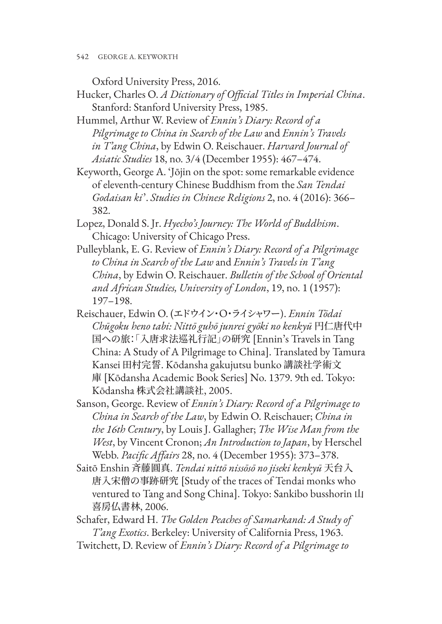542 GEORGE A. KEYWORTH

Oxford University Press, 2016.

- Hucker, Charles O. *A Dictionary of Official Titles in Imperial China*. Stanford: Stanford University Press, 1985.
- Hummel, Arthur W. Review of *Ennin's Diary: Record of a Pilgrimage to China in Search of the Law* and *Ennin's Travels in T'ang China*, by Edwin O. Reischauer. *Harvard Journal of Asiatic Studies* 18, no. 3/4 (December 1955): 467–474.
- Keyworth, George A. 'Jōjin on the spot: some remarkable evidence of eleventh-century Chinese Buddhism from the *San Tendai Godaisan ki*'. *Studies in Chinese Religions* 2, no. 4 (2016): 366– 382.
- Lopez, Donald S. Jr. *Hyecho's Journey: The World of Buddhism*. Chicago: University of Chicago Press.
- Pulleyblank, E. G. Review of *Ennin's Diary: Record of a Pilgrimage to China in Search of the Law* and *Ennin's Travels in T'ang China*, by Edwin O. Reischauer. *Bulletin of the School of Oriental and African Studies, University of London*, 19, no. 1 (1957): 197–198.
- Reischauer, Edwin O. (エドウイン・O・ライシャワー). *Ennin Tōdai Chūgoku heno tabi: Nittō guhō junrei gyōki no kenkyū* 円仁唐代中 国への旅:「入唐求法巡礼行記」の研究 [Ennin's Travels in Tang China: A Study of A Pilgrimage to China]. Translated by Tamura Kansei 田村完誓. Kōdansha gakujutsu bunko 講談社学術文 庫 [Kōdansha Academic Book Series] No. 1379. 9th ed. Tokyo: Kōdansha 株式会社講談社, 2005.
- Sanson, George. Review of *Ennin's Diary: Record of a Pilgrimage to China in Search of the Law*, by Edwin O. Reischauer; *China in the 16th Century*, by Louis J. Gallagher; *The Wise Man from the West*, by Vincent Cronon; *An Introduction to Japan*, by Herschel Webb. *Pacific Affairs* 28, no. 4 (December 1955): 373–378.
- Saitō Enshin 斉藤圓真. *Tendai nittō nissōsō no jiseki kenkyū* 天台入 唐入宋僧の事跡研究 [Study of the traces of Tendai monks who ventured to Tang and Song China]. Tokyo: Sankibo busshorin 山 喜房仏書林, 2006.
- Schafer, Edward H. *The Golden Peaches of Samarkand: A Study of T'ang Exotics*. Berkeley: University of California Press, 1963.
- Twitchett, D. Review of *Ennin's Diary: Record of a Pilgrimage to*